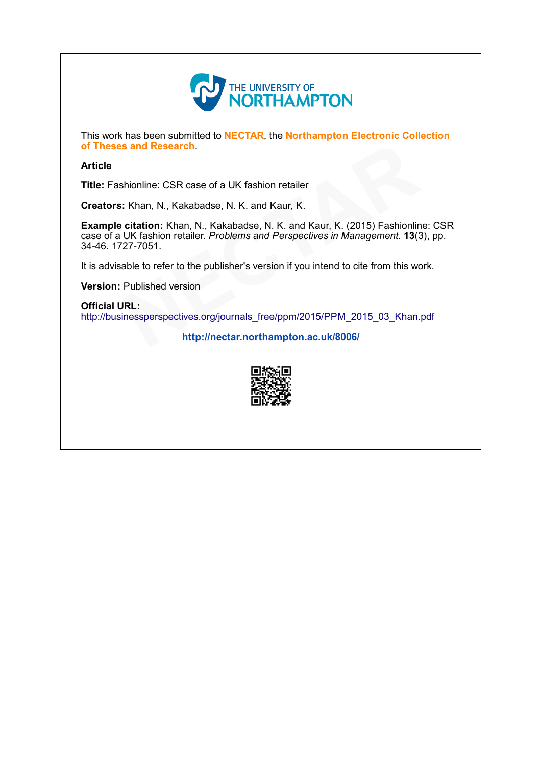

This work has been submitted to NECTAR, the Northampton Electronic Collection of Theses and Research.

## Article

Title: Fashionline: CSR case of a UK fashion retailer

Creators: Khan, N., Kakabadse, N. K. and Kaur, K.

Example citation: Khan, N., Kakabadse, N. K. and Kaur, K. (2015) Fashionline: CSR case of a UK fashion retailer. Problems and Perspectives in Management. 13(3), pp. 34-46. 1727-7051. of Theses and Research.<br>
Title: Fashionline: CSR case of a UK fashion retailer<br>
Creators: Khan, [N](http://nectar.northampton.ac.uk/8006/)., Kakabadse, N. K. and Kaur, K.<br>
Example citation: Khan, N., Kakabadse, N. K. and Kaur, K. (2015) Fashionline:<br>
case of a UK

It is advisable to refer to the publisher's version if you intend to cite from this work.

Version: Published version

Official URL:<br>http://businessperspectives.org/journals free/ppm/2015/PPM 2015 03 Khan.pdf

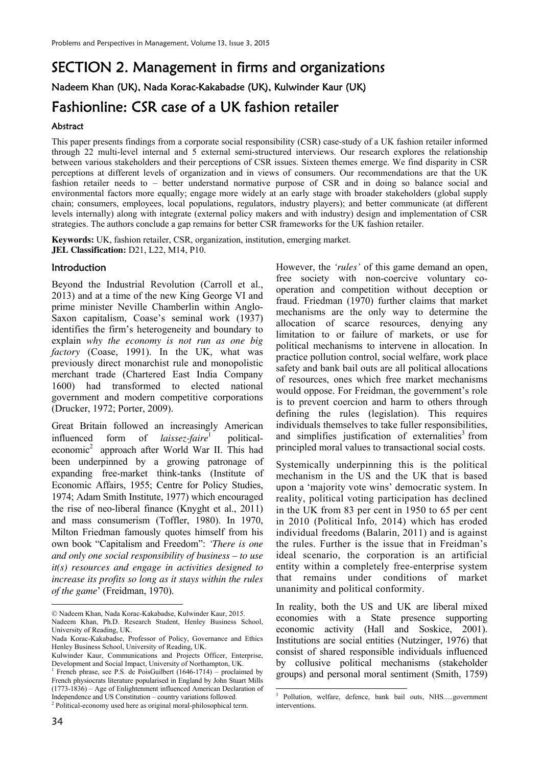# SECTION 2. Management in firms and organizations Nadeem Khan (UK), Nada Korac-Kakabadse (UK), Kulwinder Kaur (UK) Fashionline: CSR case of a UK fashion retailer

# Abstract

This paper presents findings from a corporate social responsibility (CSR) case-study of a UK fashion retailer informed through 22 multi-level internal and 5 external semi-structured interviews. Our research explores the relationship between various stakeholders and their perceptions of CSR issues. Sixteen themes emerge. We find disparity in CSR perceptions at different levels of organization and in views of consumers. Our recommendations are that the UK fashion retailer needs to – better understand normative purpose of CSR and in doing so balance social and environmental factors more equally; engage more widely at an early stage with broader stakeholders (global supply chain; consumers, employees, local populations, regulators, industry players); and better communicate (at different levels internally) along with integrate (external policy makers and with industry) design and implementation of CSR strategies. The authors conclude a gap remains for better CSR frameworks for the UK fashion retailer.

**.** 

**Keywords:** UK, fashion retailer, CSR, organization, institution, emerging market. **JEL Classification:** D21, L22, M14, P10.

#### **Introduction**

Beyond the Industrial Revolution (Carroll et al., 2013) and at a time of the new King George VI and prime minister Neville Chamberlin within Anglo-Saxon capitalism, Coase's seminal work (1937) identifies the firm's heterogeneity and boundary to explain *why the economy is not run as one big factory* (Coase, 1991). In the UK, what was previously direct monarchist rule and monopolistic merchant trade (Chartered East India Company 1600) had transformed to elected national government and modern competitive corporations (Drucker, 1972; Porter, 2009).

Great Britain followed an increasingly American influenced form of *laissez-faire*<sup>1</sup> politicaleconomic<sup>2</sup> approach after World War II. This had been underpinned by a growing patronage of expanding free-market think-tanks (Institute of Economic Affairs, 1955; Centre for Policy Studies, 1974; Adam Smith Institute, 1977) which encouraged the rise of neo-liberal finance (Knyght et al., 2011) and mass consumerism (Toffler, 1980). In 1970, Milton Friedman famously quotes himself from his own book "Capitalism and Freedom": *'There is one and only one social responsibility of business – to use it(s) resources and engage in activities designed to increase its profits so long as it stays within the rules of the game*' (Freidman, 1970).

Nadeem Khan, Nada Korac-Kakabadse, Kulwinder Kaur, 2015.

Nadeem Khan, Ph.D. Research Student, Henley Business School, University of Reading, UK.

However, the *'rules'* of this game demand an open, free society with non-coercive voluntary cooperation and competition without deception or fraud. Friedman (1970) further claims that market mechanisms are the only way to determine the allocation of scarce resources, denying any limitation to or failure of markets, or use for political mechanisms to intervene in allocation. In practice pollution control, social welfare, work place safety and bank bail outs are all political allocations of resources, ones which free market mechanisms would oppose. For Freidman, the government's role is to prevent coercion and harm to others through defining the rules (legislation). This requires individuals themselves to take fuller responsibilities, and simplifies justification of externalities<sup>3</sup> from principled moral values to transactional social costs.

Systemically underpinning this is the political mechanism in the US and the UK that is based upon a 'majority vote wins' democratic system. In reality, political voting participation has declined in the UK from 83 per cent in 1950 to 65 per cent in 2010 (Political Info, 2014) which has eroded individual freedoms (Balarin, 2011) and is against the rules. Further is the issue that in Freidman's ideal scenario, the corporation is an artificial entity within a completely free-enterprise system that remains under conditions of market unanimity and political conformity.

In reality, both the US and UK are liberal mixed economies with a State presence supporting economic activity (Hall and Soskice, 2001). Institutions are social entities (Nutzinger, 1976) that consist of shared responsible individuals influenced by collusive political mechanisms (stakeholder groups) and personal moral sentiment (Smith, 1759)

 $\overline{a}$ 

Nada Korac-Kakabadse, Professor of Policy, Governance and Ethics Henley Business School, University of Reading, UK.

Kulwinder Kaur, Communications and Projects Officer, Enterprise, Development and Social Impact, University of Northampton, UK.

<sup>1</sup> French phrase, see P.S. de PoisGuilbert (1646-1714) – proclaimed by French physiocrats literature popularised in England by John Stuart Mills (1773-1836) – Age of Enlightenment influenced American Declaration of Independence and US Constitution – country variations followed.

<sup>&</sup>lt;sup>2</sup> Political-economy used here as original moral-philosophical term.

<sup>3</sup> Pollution, welfare, defence, bank bail outs, NHS.....government interventions.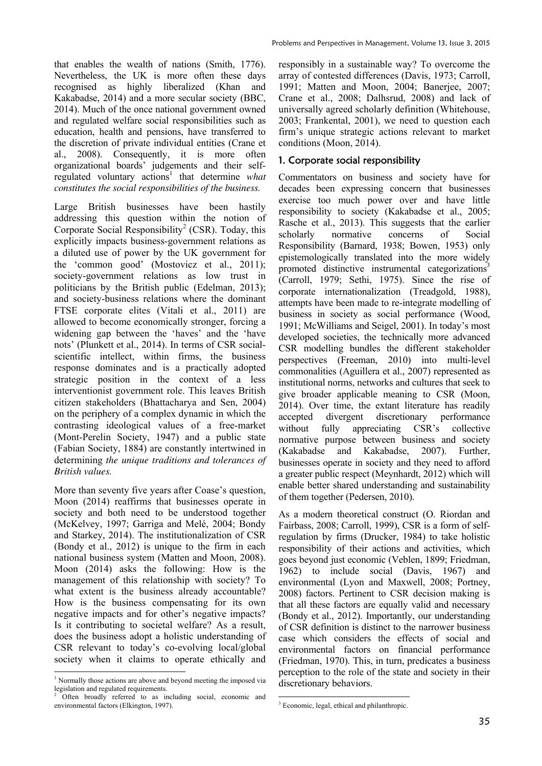that enables the wealth of nations (Smith, 1776). Nevertheless, the UK is more often these days recognised as highly liberalized (Khan and Kakabadse, 2014) and a more secular society (BBC, 2014). Much of the once national government owned and regulated welfare social responsibilities such as education, health and pensions, have transferred to the discretion of private individual entities (Crane et al., 2008). Consequently, it is more often organizational boards' judgements and their selfregulated voluntary actions<sup>1</sup> that determine what *constitutes the social responsibilities of the business.*

Large British businesses have been hastily addressing this question within the notion of Corporate Social Responsibility<sup>2</sup> (CSR). Today, this explicitly impacts business-government relations as a diluted use of power by the UK government for the 'common good' (Mostovicz et al., 2011); society-government relations as low trust in politicians by the British public (Edelman, 2013); and society-business relations where the dominant FTSE corporate elites (Vitali et al., 2011) are allowed to become economically stronger, forcing a widening gap between the 'haves' and the 'have nots' (Plunkett et al., 2014). In terms of CSR socialscientific intellect, within firms, the business response dominates and is a practically adopted strategic position in the context of a less interventionist government role. This leaves British citizen stakeholders (Bhattacharya and Sen, 2004) on the periphery of a complex dynamic in which the contrasting ideological values of a free-market (Mont-Perelin Society, 1947) and a public state (Fabian Society, 1884) are constantly intertwined in determining *the unique traditions and tolerances of British values.* 

More than seventy five years after Coase's question. Moon (2014) reaffirms that businesses operate in society and both need to be understood together (McKelvey, 1997; Garriga and Melé, 2004; Bondy and Starkey, 2014). The institutionalization of CSR (Bondy et al., 2012) is unique to the firm in each national business system (Matten and Moon, 2008). Moon (2014) asks the following: How is the management of this relationship with society? To what extent is the business already accountable? How is the business compensating for its own negative impacts and for other's negative impacts? Is it contributing to societal welfare? As a result, does the business adopt a holistic understanding of CSR relevant to today's co-evolving local/global society when it claims to operate ethically and

 1 Normally those actions are above and beyond meeting the imposed via legislation and regulated requirements.

responsibly in a sustainable way? To overcome the array of contested differences (Davis, 1973; Carroll, 1991; Matten and Moon, 2004; Banerjee, 2007; Crane et al., 2008; Dalhsrud, 2008) and lack of universally agreed scholarly definition (Whitehouse, 2003; Frankental, 2001), we need to question each firm's unique strategic actions relevant to market conditions (Moon, 2014).

# 1. Corporate social responsibility

Commentators on business and society have for decades been expressing concern that businesses exercise too much power over and have little responsibility to society (Kakabadse et al., 2005; Rasche et al., 2013). This suggests that the earlier scholarly normative concerns of Social Responsibility (Barnard, 1938; Bowen, 1953) only epistemologically translated into the more widely promoted distinctive instrumental categorizations<sup>3</sup> (Carroll, 1979; Sethi, 1975). Since the rise of corporate internationalization (Treadgold, 1988), attempts have been made to re-integrate modelling of business in society as social performance (Wood, 1991; McWilliams and Seigel, 2001). In today's most developed societies, the technically more advanced CSR modelling bundles the different stakeholder perspectives (Freeman, 2010) into multi-level commonalities (Aguillera et al., 2007) represented as institutional norms, networks and cultures that seek to give broader applicable meaning to CSR (Moon, 2014). Over time, the extant literature has readily accepted divergent discretionary performance without fully appreciating CSR's collective normative purpose between business and society (Kakabadse and Kakabadse, 2007). Further, businesses operate in society and they need to afford a greater public respect (Meynhardt, 2012) which will enable better shared understanding and sustainability of them together (Pedersen, 2010).

As a modern theoretical construct (O. Riordan and Fairbass, 2008; Carroll, 1999), CSR is a form of selfregulation by firms (Drucker, 1984) to take holistic responsibility of their actions and activities, which goes beyond just economic (Veblen, 1899; Friedman, 1962) to include social (Davis, 1967) and environmental (Lyon and Maxwell, 2008; Portney, 2008) factors. Pertinent to CSR decision making is that all these factors are equally valid and necessary (Bondy et al., 2012). Importantly, our understanding of CSR definition is distinct to the narrower business case which considers the effects of social and environmental factors on financial performance (Friedman, 1970). This, in turn, predicates a business perception to the role of the state and society in their discretionary behaviors.

<sup>2</sup> Often broadly referred to as including social, economic and environmental factors (Elkington, 1997).

<sup>&</sup>lt;u>.</u> <sup>3</sup> Economic, legal, ethical and philanthropic.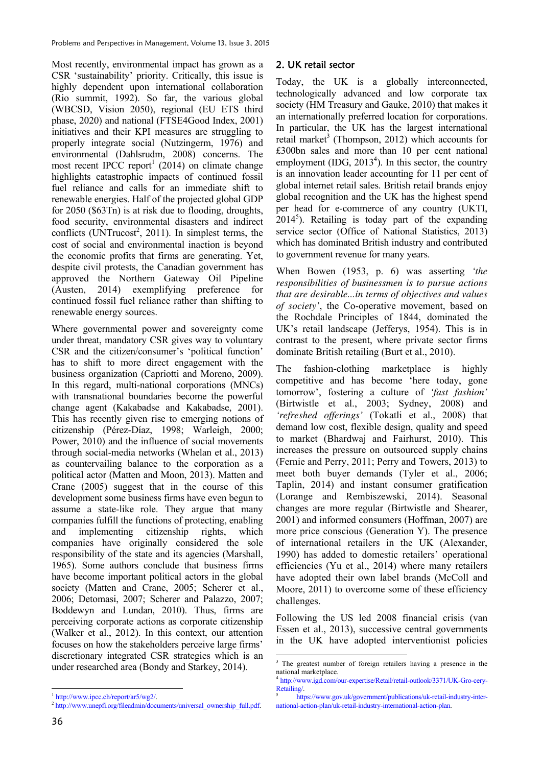Most recently, environmental impact has grown as a CSR 'sustainability' priority. Critically, this issue is highly dependent upon international collaboration (Rio summit, 1992). So far, the various global (WBCSD, Vision 2050), regional (EU ETS third phase, 2020) and national (FTSE4Good Index, 2001) initiatives and their KPI measures are struggling to properly integrate social (Nutzingerm, 1976) and environmental (Dahlsrudm, 2008) concerns. The most recent IPCC report<sup>1</sup> (2014) on climate change highlights catastrophic impacts of continued fossil fuel reliance and calls for an immediate shift to renewable energies. Half of the projected global GDP for 2050 (\$63Tn) is at risk due to flooding, droughts, food security, environmental disasters and indirect conflicts (UNTrucost<sup>2</sup>, 2011). In simplest terms, the cost of social and environmental inaction is beyond the economic profits that firms are generating. Yet, despite civil protests, the Canadian government has approved the Northern Gateway Oil Pipeline (Austen, 2014) exemplifying preference for continued fossil fuel reliance rather than shifting to renewable energy sources.

Where governmental power and sovereignty come under threat, mandatory CSR gives way to voluntary CSR and the citizen/consumer's 'political function' has to shift to more direct engagement with the business organization (Capriotti and Moreno, 2009). In this regard, multi-national corporations (MNCs) with transnational boundaries become the powerful change agent (Kakabadse and Kakabadse, 2001). This has recently given rise to emerging notions of citizenship (Pérez-Díaz, 1998; Warleigh, 2000; Power, 2010) and the influence of social movements through social-media networks (Whelan et al., 2013) as countervailing balance to the corporation as a political actor (Matten and Moon, 2013). Matten and Crane (2005) suggest that in the course of this development some business firms have even begun to assume a state-like role. They argue that many companies fulfill the functions of protecting, enabling and implementing citizenship rights, which companies have originally considered the sole responsibility of the state and its agencies (Marshall, 1965). Some authors conclude that business firms have become important political actors in the global society (Matten and Crane, 2005; Scherer et al., 2006; Detomasi, 2007; Scherer and Palazzo, 2007; Boddewyn and Lundan, 2010). Thus, firms are perceiving corporate actions as corporate citizenship (Walker et al., 2012). In this context, our attention focuses on how the stakeholders perceive large firms' discretionary integrated CSR strategies which is an under researched area (Bondy and Starkey, 2014).

#### 2. UK retail sector

Today, the UK is a globally interconnected, technologically advanced and low corporate tax society (HM Treasury and Gauke, 2010) that makes it an internationally preferred location for corporations. In particular, the UK has the largest international retail market<sup>3</sup> (Thompson, 2012) which accounts for £300bn sales and more than 10 per cent national employment  $(IDG, 2013<sup>4</sup>)$ . In this sector, the country is an innovation leader accounting for 11 per cent of global internet retail sales. British retail brands enjoy global recognition and the UK has the highest spend per head for e-commerce of any country (UKTI,  $2014<sup>5</sup>$ ). Retailing is today part of the expanding service sector (Office of National Statistics, 2013) which has dominated British industry and contributed to government revenue for many years.

When Bowen (1953, p. 6) was asserting *'the responsibilities of businessmen is to pursue actions that are desirable...in terms of objectives and values of society'*, the Co-operative movement, based on the Rochdale Principles of 1844, dominated the UK's retail landscape (Jefferys, 1954). This is in contrast to the present, where private sector firms dominate British retailing (Burt et al., 2010).

The fashion-clothing marketplace is highly competitive and has become 'here today, gone tomorrow', fostering a culture of *'fast fashion'* (Birtwistle et al., 2003; Sydney, 2008) and *'refreshed offerings'* (Tokatli et al., 2008) that demand low cost, flexible design, quality and speed to market (Bhardwaj and Fairhurst, 2010). This increases the pressure on outsourced supply chains (Fernie and Perry, 2011; Perry and Towers, 2013) to meet both buyer demands (Tyler et al., 2006; Taplin, 2014) and instant consumer gratification (Lorange and Rembiszewski, 2014). Seasonal changes are more regular (Birtwistle and Shearer, 2001) and informed consumers (Hoffman, 2007) are more price conscious (Generation Y). The presence of international retailers in the UK (Alexander, 1990) has added to domestic retailers' operational efficiencies (Yu et al., 2014) where many retailers have adopted their own label brands (McColl and Moore, 2011) to overcome some of these efficiency challenges.

Following the US led 2008 financial crisis (van Essen et al., 2013), successive central governments in the UK have adopted interventionist policies

 $\overline{a}$ 

<sup>1</sup> http://www.ipcc.ch/report/ar5/wg2/.

<sup>&</sup>lt;sup>2</sup> http://www.unepfi.org/fileadmin/documents/universal\_ownership\_full.pdf.

 $\frac{1}{3}$  The greatest number of foreign retailers having a presence in the national marketplace.

<sup>4</sup> http://www.igd.com/our-expertise/Retail/retail-outlook/3371/UK-Gro-cery-Retailing/.

https://www.gov.uk/government/publications/uk-retail-industry-international-action-plan/uk-retail-industry-international-action-plan.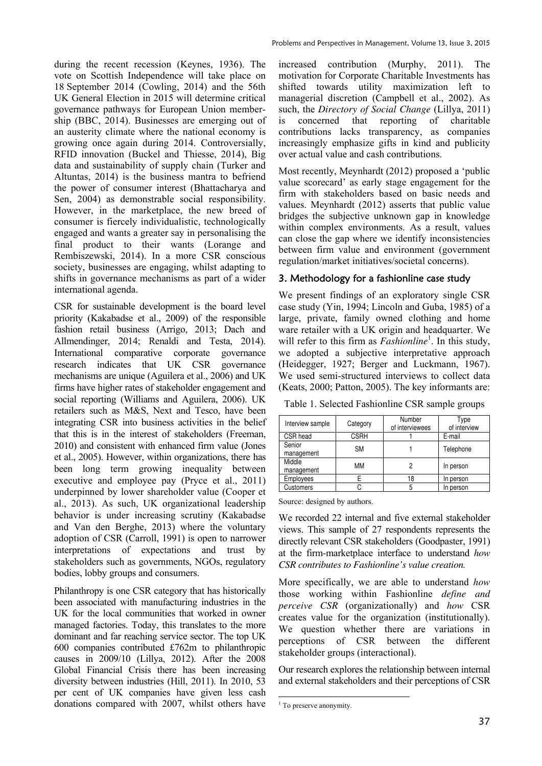during the recent recession (Keynes, 1936). The vote on Scottish Independence will take place on 18 September 2014 (Cowling, 2014) and the 56th UK General Election in 2015 will determine critical governance pathways for European Union membership (BBC, 2014). Businesses are emerging out of an austerity climate where the national economy is growing once again during 2014. Controversially, RFID innovation (Buckel and Thiesse, 2014), Big data and sustainability of supply chain (Turker and Altuntas, 2014) is the business mantra to befriend the power of consumer interest (Bhattacharya and Sen, 2004) as demonstrable social responsibility. However, in the marketplace, the new breed of consumer is fiercely individualistic, technologically engaged and wants a greater say in personalising the final product to their wants (Lorange and Rembiszewski, 2014). In a more CSR conscious society, businesses are engaging, whilst adapting to shifts in governance mechanisms as part of a wider international agenda.

CSR for sustainable development is the board level priority (Kakabadse et al., 2009) of the responsible fashion retail business (Arrigo, 2013; Dach and Allmendinger, 2014; Renaldi and Testa, 2014). International comparative corporate governance research indicates that UK CSR governance mechanisms are unique (Aguilera et al., 2006) and UK firms have higher rates of stakeholder engagement and social reporting (Williams and Aguilera, 2006). UK retailers such as M&S, Next and Tesco, have been integrating CSR into business activities in the belief that this is in the interest of stakeholders (Freeman, 2010) and consistent with enhanced firm value (Jones et al., 2005). However, within organizations, there has been long term growing inequality between executive and employee pay (Pryce et al., 2011) underpinned by lower shareholder value (Cooper et al., 2013). As such, UK organizational leadership behavior is under increasing scrutiny (Kakabadse and Van den Berghe, 2013) where the voluntary adoption of CSR (Carroll, 1991) is open to narrower interpretations of expectations and trust by stakeholders such as governments, NGOs, regulatory bodies, lobby groups and consumers.

Philanthropy is one CSR category that has historically been associated with manufacturing industries in the UK for the local communities that worked in owner managed factories. Today, this translates to the more dominant and far reaching service sector. The top UK 600 companies contributed £762m to philanthropic causes in 2009/10 (Lillya, 2012). After the 2008 Global Financial Crisis there has been increasing diversity between industries (Hill, 2011). In 2010, 53 per cent of UK companies have given less cash donations compared with 2007, whilst others have

increased contribution (Murphy, 2011). The motivation for Corporate Charitable Investments has shifted towards utility maximization left to managerial discretion (Campbell et al., 2002). As such, the *Directory of Social Change* (Lillya, 2011) is concerned that reporting of charitable contributions lacks transparency, as companies increasingly emphasize gifts in kind and publicity over actual value and cash contributions.

Most recently, Meynhardt (2012) proposed a 'public value scorecard' as early stage engagement for the firm with stakeholders based on basic needs and values. Meynhardt (2012) asserts that public value bridges the subjective unknown gap in knowledge within complex environments. As a result, values can close the gap where we identify inconsistencies between firm value and environment (government regulation/market initiatives/societal concerns).

# 3. Methodology for a fashionline case study

We present findings of an exploratory single CSR case study (Yin, 1994; Lincoln and Guba, 1985) of a large, private, family owned clothing and home ware retailer with a UK origin and headquarter. We will refer to this firm as *Fashionline*<sup>1</sup>. In this study, we adopted a subjective interpretative approach (Heidegger, 1927; Berger and Luckmann, 1967). We used semi-structured interviews to collect data (Keats, 2000; Patton, 2005). The key informants are:

| Interview sample     | Category    | Number<br>of interviewees | Type<br>of interview |
|----------------------|-------------|---------------------------|----------------------|
| CSR head             | <b>CSRH</b> |                           | E-mail               |
| Senior<br>management | <b>SM</b>   |                           | Telephone            |
| Middle<br>management | MМ          | 2                         | In person            |
| Employees            |             | 18                        | In person            |
| <b>Customers</b>     |             | 5                         | In person            |

Table 1. Selected Fashionline CSR sample groups

Source: designed by authors.

We recorded 22 internal and five external stakeholder views. This sample of 27 respondents represents the directly relevant CSR stakeholders (Goodpaster, 1991) at the firm-marketplace interface to understand *how CSR contributes to Fashionline's value creation.* 

More specifically, we are able to understand *how*  those working within Fashionline *define and perceive CSR* (organizationally) and *how* CSR creates value for the organization (institutionally). We question whether there are variations in perceptions of CSR between the different stakeholder groups (interactional).

Our research explores the relationship between internal and external stakeholders and their perceptions of CSR

<sup>&</sup>lt;u>.</u> <sup>1</sup> To preserve anonymity.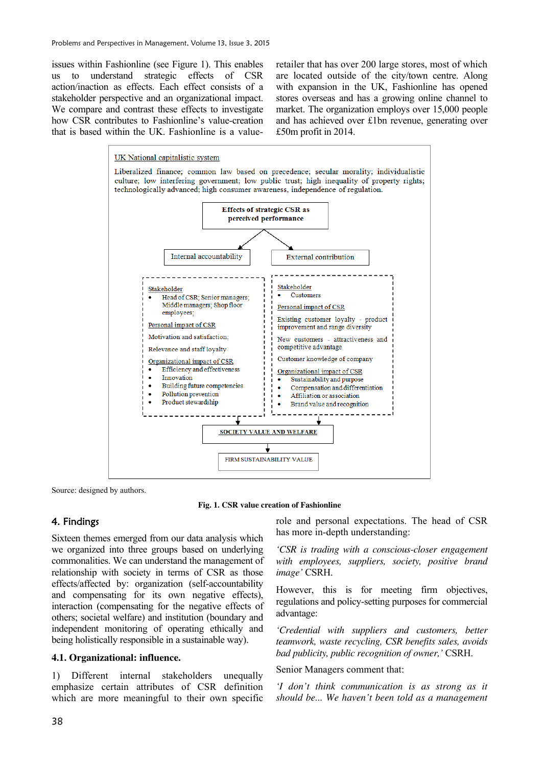issues within Fashionline (see Figure 1). This enables us to understand strategic effects of CSR action/inaction as effects. Each effect consists of a stakeholder perspective and an organizational impact. We compare and contrast these effects to investigate how CSR contributes to Fashionline's value-creation that is based within the UK. Fashionline is a valueretailer that has over 200 large stores, most of which are located outside of the city/town centre. Along with expansion in the UK, Fashionline has opened stores overseas and has a growing online channel to market. The organization employs over 15,000 people and has achieved over £1bn revenue, generating over £50m profit in 2014.



Source: designed by authors.

**Fig. 1. CSR value creation of Fashionline** 

# 4. Findings

Sixteen themes emerged from our data analysis which we organized into three groups based on underlying commonalities. We can understand the management of relationship with society in terms of CSR as those effects/affected by: organization (self-accountability and compensating for its own negative effects), interaction (compensating for the negative effects of others; societal welfare) and institution (boundary and independent monitoring of operating ethically and being holistically responsible in a sustainable way).

#### **4.1. Organizational: influence.**

1) Different internal stakeholders unequally emphasize certain attributes of CSR definition which are more meaningful to their own specific

role and personal expectations. The head of CSR has more in-depth understanding:

*'CSR is trading with a conscious-closer engagement with employees, suppliers, society, positive brand image'* CSRH.

However, this is for meeting firm objectives, regulations and policy-setting purposes for commercial advantage:

*'Credential with suppliers and customers, better teamwork, waste recycling, CSR benefits sales, avoids bad publicity, public recognition of owner,'* CSRH.

#### Senior Managers comment that:

*'I don't think communication is as strong as it should be... We haven't been told as a management*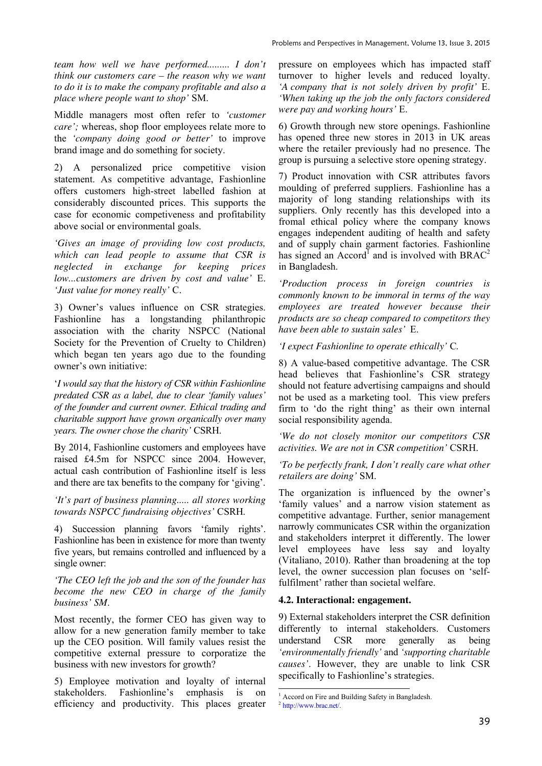*team how well we have performed......... I don't think our customers care – the reason why we want to do it is to make the company profitable and also a place where people want to shop'* SM.

Middle managers most often refer to *'customer care';* whereas, shop floor employees relate more to the *'company doing good or better'* to improve brand image and do something for society.

2) A personalized price competitive vision statement. As competitive advantage, Fashionline offers customers high-street labelled fashion at considerably discounted prices. This supports the case for economic competiveness and profitability above social or environmental goals.

*'Gives an image of providing low cost products, which can lead people to assume that CSR is neglected in exchange for keeping prices low...customers are driven by cost and value'* E. *'Just value for money really'* C.

3) Owner's values influence on CSR strategies. Fashionline has a longstanding philanthropic association with the charity NSPCC (National Society for the Prevention of Cruelty to Children) which began ten years ago due to the founding owner's own initiative:

'*I would say that the history of CSR within Fashionline predated CSR as a label, due to clear 'family values' of the founder and current owner. Ethical trading and charitable support have grown organically over many years. The owner chose the charity'* CSRH.

By 2014, Fashionline customers and employees have raised £4.5m for NSPCC since 2004. However, actual cash contribution of Fashionline itself is less and there are tax benefits to the company for 'giving'.

*'It's part of business planning..... all stores working towards NSPCC fundraising objectives'* CSRH*.* 

4) Succession planning favors 'family rights'. Fashionline has been in existence for more than twenty five years, but remains controlled and influenced by a single owner:

*'The CEO left the job and the son of the founder has become the new CEO in charge of the family business' SM*.

Most recently, the former CEO has given way to allow for a new generation family member to take up the CEO position. Will family values resist the competitive external pressure to corporatize the business with new investors for growth?

5) Employee motivation and loyalty of internal stakeholders. Fashionline's emphasis is on efficiency and productivity. This places greater pressure on employees which has impacted staff turnover to higher levels and reduced loyalty. *'A company that is not solely driven by profit'* E. *'When taking up the job the only factors considered were pay and working hours'* E.

6) Growth through new store openings. Fashionline has opened three new stores in 2013 in UK areas where the retailer previously had no presence. The group is pursuing a selective store opening strategy.

7) Product innovation with CSR attributes favors moulding of preferred suppliers. Fashionline has a majority of long standing relationships with its suppliers. Only recently has this developed into a fromal ethical policy where the company knows engages independent auditing of health and safety and of supply chain garment factories. Fashionline has signed an  $\text{According to } \mathbb{R}$  and is involved with BRAC<sup>2</sup> in Bangladesh.

*'Production process in foreign countries is commonly known to be immoral in terms of the way employees are treated however because their products are so cheap compared to competitors they have been able to sustain sales'* E.

*'I expect Fashionline to operate ethically'* C*.* 

8) A value-based competitive advantage. The CSR head believes that Fashionline's CSR strategy should not feature advertising campaigns and should not be used as a marketing tool. This view prefers firm to 'do the right thing' as their own internal social responsibility agenda.

*'We do not closely monitor our competitors CSR activities. We are not in CSR competition'* CSRH.

## *'To be perfectly frank, I don't really care what other retailers are doing'* SM.

The organization is influenced by the owner's 'family values' and a narrow vision statement as competitive advantage. Further, senior management narrowly communicates CSR within the organization and stakeholders interpret it differently. The lower level employees have less say and loyalty (Vitaliano, 2010). Rather than broadening at the top level, the owner succession plan focuses on 'selffulfilment' rather than societal welfare.

## **4.2. Interactional: engagement.**

9) External stakeholders interpret the CSR definition differently to internal stakeholders. Customers understand CSR more generally as being *'environmentally friendly'* and *'supporting charitable causes'*. However, they are unable to link CSR specifically to Fashionline's strategies.

-

<sup>1</sup> Accord on Fire and Building Safety in Bangladesh.

<sup>2</sup> http://www.brac.net/.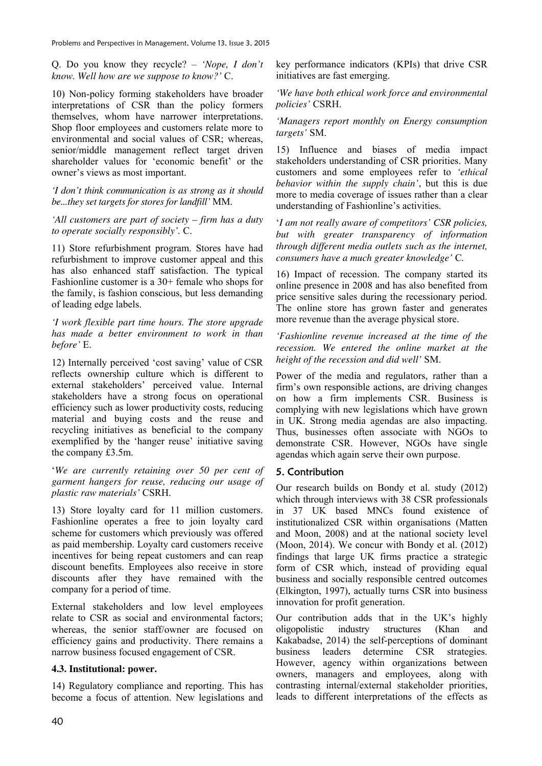Problems and Perspectives in Management, Volume 13, Issue 3, 2015

Q. Do you know they recycle? – *'Nope, I don't know. Well how are we suppose to know?'* C.

10) Non-policy forming stakeholders have broader interpretations of CSR than the policy formers themselves, whom have narrower interpretations. Shop floor employees and customers relate more to environmental and social values of CSR; whereas, senior/middle management reflect target driven shareholder values for 'economic benefit' or the owner's views as most important.

*'I don't think communication is as strong as it should be...they set targets for stores for landfill'* MM.

*'All customers are part of society – firm has a duty to operate socially responsibly'.* C.

11) Store refurbishment program. Stores have had refurbishment to improve customer appeal and this has also enhanced staff satisfaction. The typical Fashionline customer is a 30+ female who shops for the family, is fashion conscious, but less demanding of leading edge labels.

*'I work flexible part time hours. The store upgrade has made a better environment to work in than before'* E.

12) Internally perceived 'cost saving' value of CSR reflects ownership culture which is different to external stakeholders' perceived value. Internal stakeholders have a strong focus on operational efficiency such as lower productivity costs, reducing material and buying costs and the reuse and recycling initiatives as beneficial to the company exemplified by the 'hanger reuse' initiative saving the company £3.5m.

'*We are currently retaining over 50 per cent of garment hangers for reuse, reducing our usage of plastic raw materials'* CSRH.

13) Store loyalty card for 11 million customers. Fashionline operates a free to join loyalty card scheme for customers which previously was offered as paid membership. Loyalty card customers receive incentives for being repeat customers and can reap discount benefits. Employees also receive in store discounts after they have remained with the company for a period of time.

External stakeholders and low level employees relate to CSR as social and environmental factors; whereas, the senior staff/owner are focused on efficiency gains and productivity. There remains a narrow business focused engagement of CSR.

## **4.3. Institutional: power.**

14) Regulatory compliance and reporting. This has become a focus of attention. New legislations and key performance indicators (KPIs) that drive CSR initiatives are fast emerging.

*'We have both ethical work force and environmental policies'* CSRH.

*'Managers report monthly on Energy consumption targets'* SM.

15) Influence and biases of media impact stakeholders understanding of CSR priorities. Many customers and some employees refer to *'ethical behavior within the supply chain'*, but this is due more to media coverage of issues rather than a clear understanding of Fashionline's activities.

'*I am not really aware of competitors' CSR policies, but with greater transparency of information through different media outlets such as the internet, consumers have a much greater knowledge'* C*.* 

16) Impact of recession. The company started its online presence in 2008 and has also benefited from price sensitive sales during the recessionary period. The online store has grown faster and generates more revenue than the average physical store.

*'Fashionline revenue increased at the time of the recession. We entered the online market at the height of the recession and did well'* SM.

Power of the media and regulators, rather than a firm's own responsible actions, are driving changes on how a firm implements CSR. Business is complying with new legislations which have grown in UK. Strong media agendas are also impacting. Thus, businesses often associate with NGOs to demonstrate CSR. However, NGOs have single agendas which again serve their own purpose.

## 5. Contribution

Our research builds on Bondy et al. study (2012) which through interviews with 38 CSR professionals in 37 UK based MNCs found existence of institutionalized CSR within organisations (Matten and Moon, 2008) and at the national society level (Moon, 2014). We concur with Bondy et al. (2012) findings that large UK firms practice a strategic form of CSR which, instead of providing equal business and socially responsible centred outcomes (Elkington, 1997), actually turns CSR into business innovation for profit generation.

Our contribution adds that in the UK's highly oligopolistic industry structures (Khan and Kakabadse, 2014) the self-perceptions of dominant business leaders determine CSR strategies. However, agency within organizations between owners, managers and employees, along with contrasting internal/external stakeholder priorities, leads to different interpretations of the effects as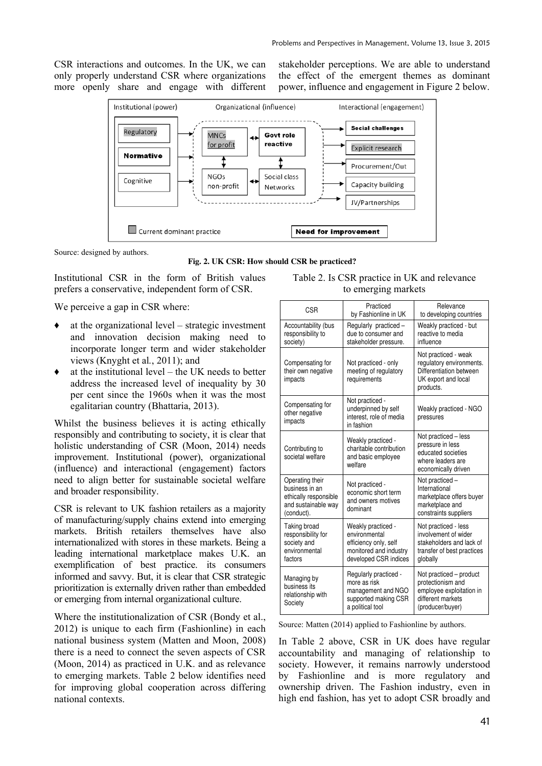CSR interactions and outcomes. In the UK, we can only properly understand CSR where organizations more openly share and engage with different stakeholder perceptions. We are able to understand the effect of the emergent themes as dominant power, influence and engagement in Figure 2 below.



Source: designed by authors.

**Fig. 2. UK CSR: How should CSR be practiced?** 

Institutional CSR in the form of British values prefers a conservative, independent form of CSR.

We perceive a gap in CSR where:

- $\bullet$  at the organizational level strategic investment and innovation decision making need to incorporate longer term and wider stakeholder views (Knyght et al*.*, 2011); and
- $\bullet$  at the institutional level the UK needs to better address the increased level of inequality by 30 per cent since the 1960s when it was the most egalitarian country (Bhattaria, 2013).

Whilst the business believes it is acting ethically responsibly and contributing to society, it is clear that holistic understanding of CSR (Moon, 2014) needs improvement. Institutional (power), organizational (influence) and interactional (engagement) factors need to align better for sustainable societal welfare and broader responsibility.

CSR is relevant to UK fashion retailers as a majority of manufacturing/supply chains extend into emerging markets. British retailers themselves have also internationalized with stores in these markets. Being a leading international marketplace makes U.K. an exemplification of best practice. its consumers informed and savvy. But, it is clear that CSR strategic prioritization is externally driven rather than embedded or emerging from internal organizational culture.

Where the institutionalization of CSR (Bondy et al., 2012) is unique to each firm (Fashionline) in each national business system (Matten and Moon, 2008) there is a need to connect the seven aspects of CSR (Moon, 2014) as practiced in U.K. and as relevance to emerging markets. Table 2 below identifies need for improving global cooperation across differing national contexts.

| Table 2. Is CSR practice in UK and relevance |  |  |  |  |
|----------------------------------------------|--|--|--|--|
| to emerging markets                          |  |  |  |  |

| <b>CSR</b>                                                                                      | Practiced<br>by Fashionline in UK                                                                               | Relevance<br>to developing countries                                                                               |
|-------------------------------------------------------------------------------------------------|-----------------------------------------------------------------------------------------------------------------|--------------------------------------------------------------------------------------------------------------------|
| Accountability (bus<br>responsibility to<br>society)                                            | Regularly practiced -<br>due to consumer and<br>stakeholder pressure.                                           | Weakly practiced - but<br>reactive to media<br>influence                                                           |
| Compensating for<br>their own negative<br>impacts                                               | Not practiced - only<br>meeting of regulatory<br>requirements                                                   | Not practiced - weak<br>regulatory environments.<br>Differentiation between<br>UK export and local<br>products.    |
| Compensating for<br>other negative<br>impacts                                                   | Not practiced -<br>underpinned by self<br>interest, role of media<br>in fashion                                 | Weakly practiced - NGO<br>pressures                                                                                |
| Contributing to<br>societal welfare                                                             | Weakly practiced -<br>charitable contribution<br>and basic employee<br>welfare                                  | Not practiced - less<br>pressure in less<br>educated societies<br>where leaders are<br>economically driven         |
| Operating their<br>business in an<br>ethically responsible<br>and sustainable way<br>(conduct). | Not practiced -<br>economic short term<br>and owners motives<br>dominant                                        | Not practiced -<br>International<br>marketplace offers buyer<br>marketplace and<br>constraints suppliers           |
| Taking broad<br>responsibility for<br>society and<br>environmental<br>factors                   | Weakly practiced -<br>environmental<br>efficiency only, self<br>monitored and industry<br>developed CSR indices | Not practiced - less<br>involvement of wider<br>stakeholders and lack of<br>transfer of best practices<br>globally |
| Managing by<br>business its<br>relationship with<br>Society                                     | Regularly practiced -<br>more as risk<br>management and NGO<br>supported making CSR<br>a political tool         | Not practiced – product<br>protectionism and<br>employee exploitation in<br>different markets<br>(producer/buyer)  |

Source: Matten (2014) applied to Fashionline by authors.

In Table 2 above, CSR in UK does have regular accountability and managing of relationship to society. However, it remains narrowly understood by Fashionline and is more regulatory and ownership driven. The Fashion industry, even in high end fashion, has yet to adopt CSR broadly and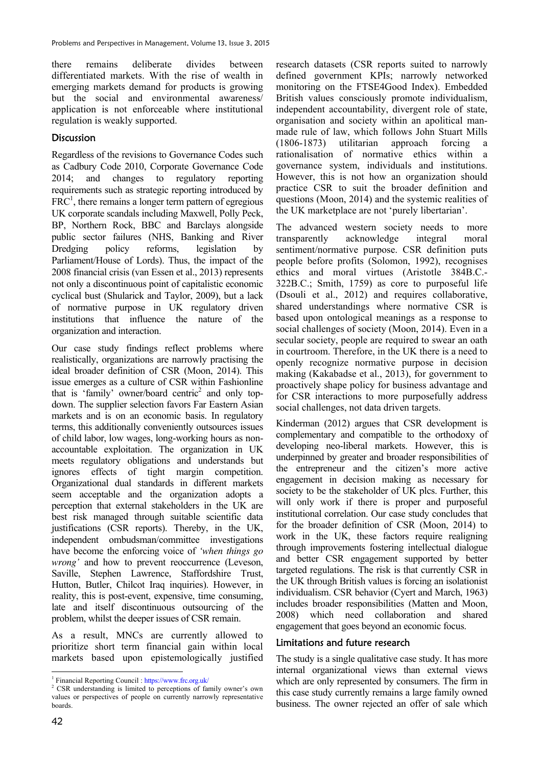there remains deliberate divides between differentiated markets. With the rise of wealth in emerging markets demand for products is growing but the social and environmental awareness/ application is not enforceable where institutional regulation is weakly supported.

# **Discussion**

Regardless of the revisions to Governance Codes such as Cadbury Code 2010, Corporate Governance Code 2014; and changes to regulatory reporting requirements such as strategic reporting introduced by  $FRC<sup>1</sup>$ , there remains a longer term pattern of egregious UK corporate scandals including Maxwell, Polly Peck, BP, Northern Rock, BBC and Barclays alongside public sector failures (NHS, Banking and River Dredging policy reforms, legislation by Parliament/House of Lords). Thus, the impact of the 2008 financial crisis (van Essen et al., 2013) represents not only a discontinuous point of capitalistic economic cyclical bust (Shularick and Taylor, 2009), but a lack of normative purpose in UK regulatory driven institutions that influence the nature of the organization and interaction.

Our case study findings reflect problems where realistically, organizations are narrowly practising the ideal broader definition of CSR (Moon, 2014). This issue emerges as a culture of CSR within Fashionline that is 'family' owner/board centric<sup>2</sup> and only topdown. The supplier selection favors Far Eastern Asian markets and is on an economic basis. In regulatory terms, this additionally conveniently outsources issues of child labor, low wages, long-working hours as nonaccountable exploitation. The organization in UK meets regulatory obligations and understands but ignores effects of tight margin competition. Organizational dual standards in different markets seem acceptable and the organization adopts a perception that external stakeholders in the UK are best risk managed through suitable scientific data justifications (CSR reports). Thereby, in the UK, independent ombudsman/committee investigations have become the enforcing voice of *'when things go wrong'* and how to prevent reoccurrence (Leveson, Saville, Stephen Lawrence, Staffordshire Trust, Hutton, Butler, Chilcot Iraq inquiries). However, in reality, this is post-event, expensive, time consuming, late and itself discontinuous outsourcing of the problem, whilst the deeper issues of CSR remain.

As a result, MNCs are currently allowed to prioritize short term financial gain within local markets based upon epistemologically justified research datasets (CSR reports suited to narrowly defined government KPIs; narrowly networked monitoring on the FTSE4Good Index). Embedded British values consciously promote individualism, independent accountability, divergent role of state, organisation and society within an apolitical manmade rule of law, which follows John Stuart Mills (1806-1873) utilitarian approach forcing a rationalisation of normative ethics within a governance system, individuals and institutions. However, this is not how an organization should practice CSR to suit the broader definition and questions (Moon, 2014) and the systemic realities of the UK marketplace are not 'purely libertarian'.

The advanced western society needs to more transparently acknowledge integral moral sentiment/normative purpose. CSR definition puts people before profits (Solomon, 1992), recognises ethics and moral virtues (Aristotle 384B.C.- 322B.C.; Smith, 1759) as core to purposeful life (Dsouli et al., 2012) and requires collaborative, shared understandings where normative CSR is based upon ontological meanings as a response to social challenges of society (Moon, 2014). Even in a secular society, people are required to swear an oath in courtroom. Therefore, in the UK there is a need to openly recognize normative purpose in decision making (Kakabadse et al., 2013), for government to proactively shape policy for business advantage and for CSR interactions to more purposefully address social challenges, not data driven targets.

Kinderman (2012) argues that CSR development is complementary and compatible to the orthodoxy of developing neo-liberal markets. However, this is underpinned by greater and broader responsibilities of the entrepreneur and the citizen's more active engagement in decision making as necessary for society to be the stakeholder of UK plcs. Further, this will only work if there is proper and purposeful institutional correlation. Our case study concludes that for the broader definition of CSR (Moon, 2014) to work in the UK, these factors require realigning through improvements fostering intellectual dialogue and better CSR engagement supported by better targeted regulations. The risk is that currently CSR in the UK through British values is forcing an isolationist individualism. CSR behavior (Cyert and March, 1963) includes broader responsibilities (Matten and Moon, 2008) which need collaboration and shared engagement that goes beyond an economic focus.

# Limitations and future research

The study is a single qualitative case study. It has more internal organizational views than external views which are only represented by consumers. The firm in this case study currently remains a large family owned business. The owner rejected an offer of sale which

<sup>&</sup>lt;sup>1</sup> Financial Reporting Council : https://www.frc.org.uk/

<sup>&</sup>lt;sup>2</sup> CSR understanding is limited to perceptions of family owner's own values or perspectives of people on currently narrowly representative boards.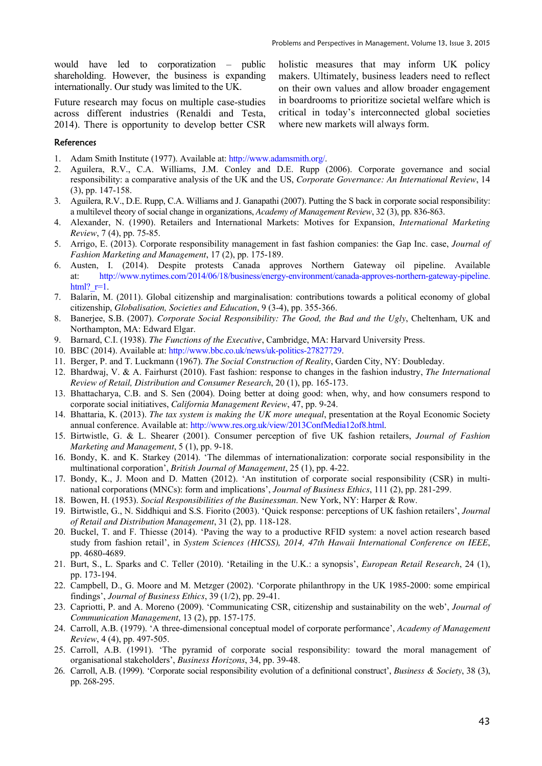would have led to corporatization – public shareholding. However, the business is expanding internationally. Our study was limited to the UK.

Future research may focus on multiple case-studies across different industries (Renaldi and Testa, 2014). There is opportunity to develop better CSR holistic measures that may inform UK policy makers. Ultimately, business leaders need to reflect on their own values and allow broader engagement in boardrooms to prioritize societal welfare which is critical in today's interconnected global societies where new markets will always form.

#### References

- 1. Adam Smith Institute (1977). Available at: http://www.adamsmith.org/.
- 2. Aguilera, R.V., C.A. Williams, J.M. Conley and D.E. Rupp (2006). Corporate governance and social responsibility: a comparative analysis of the UK and the US, *Corporate Governance: An International Review*, 14 (3), pp. 147-158.
- 3. Aguilera, R.V., D.E. Rupp, C.A. Williams and J. Ganapathi (2007). Putting the S back in corporate social responsibility: a multilevel theory of social change in organizations, *Academy of Management Review*, 32 (3), pp. 836-863.
- 4. Alexander, N. (1990). Retailers and International Markets: Motives for Expansion, *International Marketing Review*, 7 (4), pp. 75-85.
- 5. Arrigo, E. (2013). Corporate responsibility management in fast fashion companies: the Gap Inc. case, *Journal of Fashion Marketing and Management*, 17 (2), pp. 175-189.
- 6. Austen, I. (2014). Despite protests Canada approves Northern Gateway oil pipeline. Available at: http://www.nytimes.com/2014/06/18/business/energy-environment/canada-approves-northern-gateway-pipeline. html? $r=1$ .
- 7. Balarin, M. (2011). Global citizenship and marginalisation: contributions towards a political economy of global citizenship, *Globalisation, Societies and Education*, 9 (3-4), pp. 355-366.
- 8. Banerjee, S.B. (2007). *Corporate Social Responsibility: The Good, the Bad and the Ugly*, Cheltenham, UK and Northampton, MA: Edward Elgar.
- 9. Barnard, C.I. (1938). *The Functions of the Executive*, Cambridge, MA: Harvard University Press.
- 10. BBC (2014). Available at: http://www.bbc.co.uk/news/uk-politics-27827729.
- 11. Berger, P. and T. Luckmann (1967). *The Social Construction of Reality*, Garden City, NY: Doubleday.
- 12. Bhardwaj, V. & A. Fairhurst (2010). Fast fashion: response to changes in the fashion industry, *The International Review of Retail, Distribution and Consumer Research*, 20 (1), pp. 165-173.
- 13. Bhattacharya, C.B. and S. Sen (2004). Doing better at doing good: when, why, and how consumers respond to corporate social initiatives, *California Management Review*, 47, pp. 9-24.
- 14. Bhattaria, K. (2013). *The tax system is making the UK more unequal*, presentation at the Royal Economic Society annual conference. Available at: http://www.res.org.uk/view/2013ConfMedia12of8.html.
- 15. Birtwistle, G. & L. Shearer (2001). Consumer perception of five UK fashion retailers, *Journal of Fashion Marketing and Management*, 5 (1), pp. 9-18.
- 16. Bondy, K. and K. Starkey (2014). 'The dilemmas of internationalization: corporate social responsibility in the multinational corporation', *British Journal of Management*, 25 (1), pp. 4-22.
- 17. Bondy, K., J. Moon and D. Matten (2012). 'An institution of corporate social responsibility (CSR) in multinational corporations (MNCs): form and implications', *Journal of Business Ethics*, 111 (2), pp. 281-299.
- 18. Bowen, H. (1953). *Social Responsibilities of the Businessman*. New York, NY: Harper & Row.
- 19. Birtwistle, G., N. Siddhiqui and S.S. Fiorito (2003). 'Quick response: perceptions of UK fashion retailers', *Journal of Retail and Distribution Management*, 31 (2), pp. 118-128.
- 20. Buckel, T. and F. Thiesse (2014). 'Paving the way to a productive RFID system: a novel action research based study from fashion retail', in *System Sciences (HICSS), 2014, 47th Hawaii International Conference on IEEE*, pp. 4680-4689.
- 21. Burt, S., L. Sparks and C. Teller (2010). 'Retailing in the U.K.: a synopsis', *European Retail Research*, 24 (1), pp. 173-194.
- 22. Campbell, D., G. Moore and M. Metzger (2002). 'Corporate philanthropy in the UK 1985-2000: some empirical findings', *Journal of Business Ethics*, 39 (1/2), pp. 29-41.
- 23. Capriotti, P. and A. Moreno (2009). 'Communicating CSR, citizenship and sustainability on the web', *Journal of Communication Management*, 13 (2), pp. 157-175.
- 24. Carroll, A.B. (1979). 'A three-dimensional conceptual model of corporate performance', *Academy of Management Review*, 4 (4), pp. 497-505.
- 25. Carroll, A.B. (1991). 'The pyramid of corporate social responsibility: toward the moral management of organisational stakeholders', *Business Horizons*, 34, pp. 39-48.
- 26. Carroll, A.B. (1999). 'Corporate social responsibility evolution of a definitional construct', *Business & Society*, 38 (3), pp. 268-295.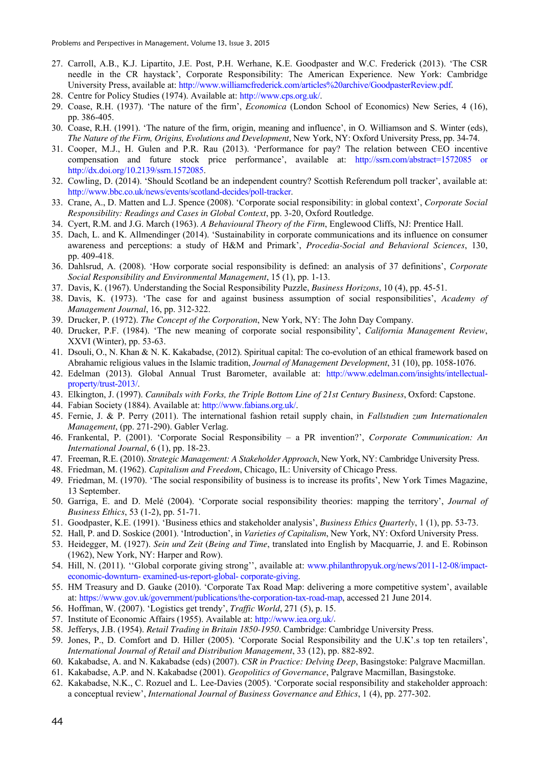- 27. Carroll, A.B., K.J. Lipartito, J.E. Post, P.H. Werhane, K.E. Goodpaster and W.C. Frederick (2013). 'The CSR needle in the CR haystack', Corporate Responsibility: The American Experience. New York: Cambridge University Press, available at: http://www.williamcfrederick.com/articles%20archive/GoodpasterReview.pdf.
- 28. Centre for Policy Studies (1974). Available at: http://www.cps.org.uk/.
- 29. Coase, R.H. (1937). 'The nature of the firm', *Economica* (London School of Economics) New Series, 4 (16), pp. 386-405.
- 30. Coase, R.H. (1991). 'The nature of the firm, origin, meaning and influence', in O. Williamson and S. Winter (eds), *The Nature of the Firm, Origins, Evolutions and Development*, New York, NY: Oxford University Press, pp. 34-74.
- 31. Cooper, M.J., H. Gulen and P.R. Rau (2013). 'Performance for pay? The relation between CEO incentive compensation and future stock price performance', available at: http://ssrn.com/abstract=1572085 or http://dx.doi.org/10.2139/ssrn.1572085.
- 32. Cowling, D. (2014). 'Should Scotland be an independent country? Scottish Referendum poll tracker', available at: http://www.bbc.co.uk/news/events/scotland-decides/poll-tracker.
- 33. Crane, A., D. Matten and L.J. Spence (2008). 'Corporate social responsibility: in global context', *Corporate Social Responsibility: Readings and Cases in Global Context*, pp. 3-20, Oxford Routledge.
- 34. Cyert, R.M. and J.G. March (1963). *A Behavioural Theory of the Firm*, Englewood Cliffs, NJ: Prentice Hall.
- 35. Dach, L. and K. Allmendinger (2014). 'Sustainability in corporate communications and its influence on consumer awareness and perceptions: a study of H&M and Primark', *Procedia-Social and Behavioral Sciences*, 130, pp. 409-418.
- 36. Dahlsrud, A. (2008). 'How corporate social responsibility is defined: an analysis of 37 definitions', *Corporate Social Responsibility and Environmental Management*, 15 (1), pp. 1-13.
- 37. Davis, K. (1967). Understanding the Social Responsibility Puzzle, *Business Horizons*, 10 (4), pp. 45-51.
- 38. Davis, K. (1973). 'The case for and against business assumption of social responsibilities', *Academy of Management Journal*, 16, pp. 312-322.
- 39. Drucker, P. (1972). *The Concept of the Corporation*, New York, NY: The John Day Company.
- 40. Drucker, P.F. (1984). 'The new meaning of corporate social responsibility', *California Management Review*, XXVI (Winter), pp. 53-63.
- 41. Dsouli, O., N. Khan & N. K. Kakabadse, (2012). Spiritual capital: The co-evolution of an ethical framework based on Abrahamic religious values in the Islamic tradition, *Journal of Management Development*, 31 (10), pp. 1058-1076.
- 42. Edelman (2013). Global Annual Trust Barometer, available at: http://www.edelman.com/insights/intellectualproperty/trust-2013/.
- 43. Elkington, J. (1997). *Cannibals with Forks, the Triple Bottom Line of 21st Century Business*, Oxford: Capstone.
- 44. Fabian Society (1884). Available at: http://www.fabians.org.uk/.
- 45. Fernie, J. & P. Perry (2011). The international fashion retail supply chain, in *Fallstudien zum Internationalen Management*, (pp. 271-290). Gabler Verlag.
- 46. Frankental, P. (2001). 'Corporate Social Responsibility a PR invention?', *Corporate Communication: An International Journal*, 6 (1), pp. 18-23.
- 47. Freeman, R.E. (2010). *Strategic Management: A Stakeholder Approach*, New York, NY: Cambridge University Press.
- 48. Friedman, M. (1962). *Capitalism and Freedom*, Chicago, IL: University of Chicago Press.
- 49. Friedman, M. (1970). 'The social responsibility of business is to increase its profits', New York Times Magazine, 13 September.
- 50. Garriga, E. and D. Melé (2004). 'Corporate social responsibility theories: mapping the territory', *Journal of Business Ethics*, 53 (1-2), pp. 51-71.
- 51. Goodpaster, K.E. (1991). 'Business ethics and stakeholder analysis', *Business Ethics Quarterly*, 1 (1), pp. 53-73.
- 52. Hall, P. and D. Soskice (2001). 'Introduction', in *Varieties of Capitalism*, New York, NY: Oxford University Press.
- 53. Heidegger, M. (1927). *Sein und Zeit* (*Being and Time*, translated into English by Macquarrie, J. and E. Robinson (1962), New York, NY: Harper and Row).
- 54. Hill, N. (2011). ''Global corporate giving strong'', available at: www.philanthropyuk.org/news/2011-12-08/impacteconomic-downturn- examined-us-report-global- corporate-giving.
- 55. HM Treasury and D. Gauke (2010). 'Corporate Tax Road Map: delivering a more competitive system', available at: https://www.gov.uk/government/publications/the-corporation-tax-road-map, accessed 21 June 2014.
- 56. Hoffman, W. (2007). 'Logistics get trendy', *Traffic World*, 271 (5), p. 15.
- 57. Institute of Economic Affairs (1955). Available at: http://www.iea.org.uk/.
- 58. Jefferys, J.B. (1954). *Retail Trading in Britain 1850-1950*. Cambridge: Cambridge University Press.
- 59. Jones, P., D. Comfort and D. Hiller (2005). 'Corporate Social Responsibility and the U.K'.s top ten retailers', *International Journal of Retail and Distribution Management*, 33 (12), pp. 882-892.
- 60. Kakabadse, A. and N. Kakabadse (eds) (2007). *CSR in Practice: Delving Deep*, Basingstoke: Palgrave Macmillan.
- 61. Kakabadse, A.P. and N. Kakabadse (2001). *Geopolitics of Governance*, Palgrave Macmillan, Basingstoke.
- 62. Kakabadse, N.K., C. Rozuel and L. Lee-Davies (2005). 'Corporate social responsibility and stakeholder approach: a conceptual review', *International Journal of Business Governance and Ethics*, 1 (4), pp. 277-302.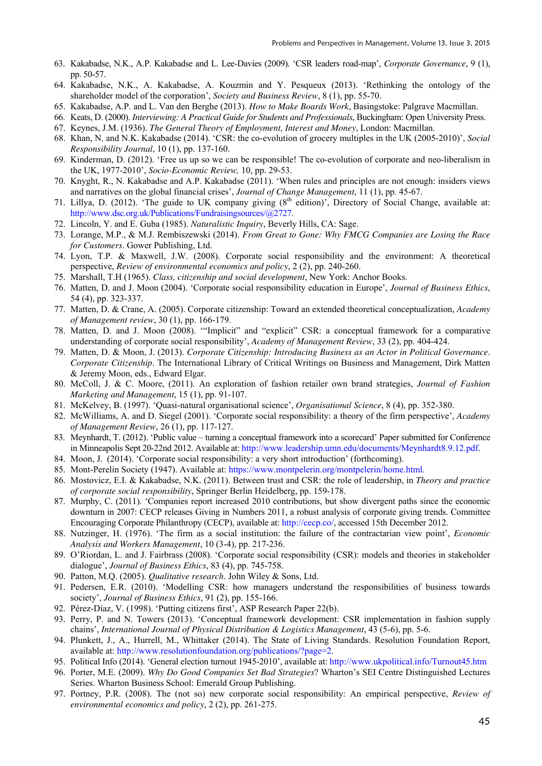- 63. Kakabadse, N.K., A.P. Kakabadse and L. Lee-Davies (2009). 'CSR leaders road-map', *Corporate Governance*, 9 (1), pp. 50-57.
- 64. Kakabadse, N.K., A. Kakabadse, A. Kouzmin and Y. Pesqueux (2013). 'Rethinking the ontology of the shareholder model of the corporation', *Society and Business Review*, 8 (1), pp. 55-70.
- 65. Kakabadse, A.P. and L. Van den Berghe (2013). *How to Make Boards Work*, Basingstoke: Palgrave Macmillan.
- 66. Keats, D. (2000). *Interviewing: A Practical Guide for Students and Professionals*, Buckingham: Open University Press.
- 67. Keynes, J.M. (1936). *The General Theory of Employment, Interest and Money*, London: Macmillan.
- 68. Khan, N. and N.K. Kakabadse (2014). 'CSR: the co-evolution of grocery multiples in the UK (2005-2010)', *Social Responsibility Journal*, 10 (1), pp. 137-160.
- 69. Kinderman, D. (2012). 'Free us up so we can be responsible! The co-evolution of corporate and neo-liberalism in the UK, 1977-2010', *Socio-Economic Review,* 10, pp. 29-53.
- 70. Knyght, R., N. Kakabadse and A.P. Kakabadse (2011). 'When rules and principles are not enough: insiders views and narratives on the global financial crises', *Journal of Change Management*, 11 (1), pp. 45-67.
- 71. Lillya, D. (2012). 'The guide to UK company giving  $(8<sup>th</sup>$  edition)', Directory of Social Change, available at: http://www.dsc.org.uk/Publications/Fundraisingsources/@2727.
- 72. Lincoln, Y. and E. Guba (1985). *Naturalistic Inquiry*, Beverly Hills, CA: Sage.
- 73. Lorange, M.P., & M.J. Rembiszewski (2014). *From Great to Gone: Why FMCG Companies are Losing the Race for Customers*. Gower Publishing, Ltd.
- 74. Lyon, T.P. & Maxwell, J.W. (2008). Corporate social responsibility and the environment: A theoretical perspective, *Review of environmental economics and policy*, 2 (2), pp. 240-260.
- 75. Marshall, T.H (1965). *Class, citizenship and social development*, New York: Anchor Books.
- 76. Matten, D. and J. Moon (2004). 'Corporate social responsibility education in Europe', *Journal of Business Ethics*, 54 (4), pp. 323-337.
- 77. Matten, D. & Crane, A. (2005). Corporate citizenship: Toward an extended theoretical conceptualization, *Academy of Management review*, 30 (1), pp. 166-179.
- 78. Matten, D. and J. Moon (2008). '"Implicit" and "explicit" CSR: a conceptual framework for a comparative understanding of corporate social responsibility', *Academy of Management Review*, 33 (2), pp. 404-424.
- 79. Matten, D. & Moon, J. (2013). *Corporate Citizenship: Introducing Business as an Actor in Political Governance*. *Corporate Citizenship*. The International Library of Critical Writings on Business and Management, Dirk Matten & Jeremy Moon, eds., Edward Elgar.
- 80. McColl, J. & C. Moore, (2011). An exploration of fashion retailer own brand strategies, *Journal of Fashion Marketing and Management*, 15 (1), pp. 91-107.
- 81. McKelvey, B. (1997). 'Quasi-natural organisational science', *Organisational Science*, 8 (4), pp. 352-380.
- 82. McWilliams, A. and D. Siegel (2001). 'Corporate social responsibility: a theory of the firm perspective', *Academy of Management Review*, 26 (1), pp. 117-127.
- 83. Meynhardt, T. (2012). 'Public value turning a conceptual framework into a scorecard' Paper submitted for Conference in Minneapolis Sept 20-22nd 2012. Available at: http://www.leadership.umn.edu/documents/Meynhardt8.9.12.pdf.
- 84. Moon, J. (2014). 'Corporate social responsibility: a very short introduction' (forthcoming).
- 85. Mont-Perelin Society (1947). Available at: https://www.montpelerin.org/montpelerin/home.html.
- 86. Mostovicz, E.I. & Kakabadse, N.K. (2011). Between trust and CSR: the role of leadership, in *Theory and practice of corporate social responsibility*, Springer Berlin Heidelberg, pp. 159-178.
- 87. Murphy, C. (2011). 'Companies report increased 2010 contributions, but show divergent paths since the economic downturn in 2007: CECP releases Giving in Numbers 2011, a robust analysis of corporate giving trends. Committee Encouraging Corporate Philanthropy (CECP), available at: http://cecp.co/, accessed 15th December 2012.
- 88. Nutzinger, H. (1976). 'The firm as a social institution: the failure of the contractarian view point', *Economic Analysis and Workers Management*, 10 (3-4), pp. 217-236.
- 89. O'Riordan, L. and J. Fairbrass (2008). 'Corporate social responsibility (CSR): models and theories in stakeholder dialogue', *Journal of Business Ethics*, 83 (4), pp. 745-758.
- 90. Patton, M.Q. (2005). *Qualitative research*. John Wiley & Sons, Ltd.
- 91. Pedersen, E.R. (2010). 'Modelling CSR: how managers understand the responsibilities of business towards society', *Journal of Business Ethics*, 91 (2), pp. 155-166.
- 92. Pérez-Díaz, V. (1998). 'Putting citizens first', ASP Research Paper 22(b).
- 93. Perry, P. and N. Towers (2013). 'Conceptual framework development: CSR implementation in fashion supply chains', *International Journal of Physical Distribution & Logistics Management*, 43 (5-6), pp. 5-6.
- 94. Plunkett, J., A., Hurrell, M., Whittaker (2014). The State of Living Standards. Resolution Foundation Report, available at: http://www.resolutionfoundation.org/publications/?page=2.
- 95. Political Info (2014). 'General election turnout 1945-2010', available at: http://www.ukpolitical.info/Turnout45.htm
- 96. Porter, M.E. (2009). *Why Do Good Companies Set Bad Strategies*? Wharton's SEI Centre Distinguished Lectures Series. Wharton Business School: Emerald Group Publishing.
- 97. Portney, P.R. (2008). The (not so) new corporate social responsibility: An empirical perspective, *Review of environmental economics and policy*, 2 (2), pp. 261-275.